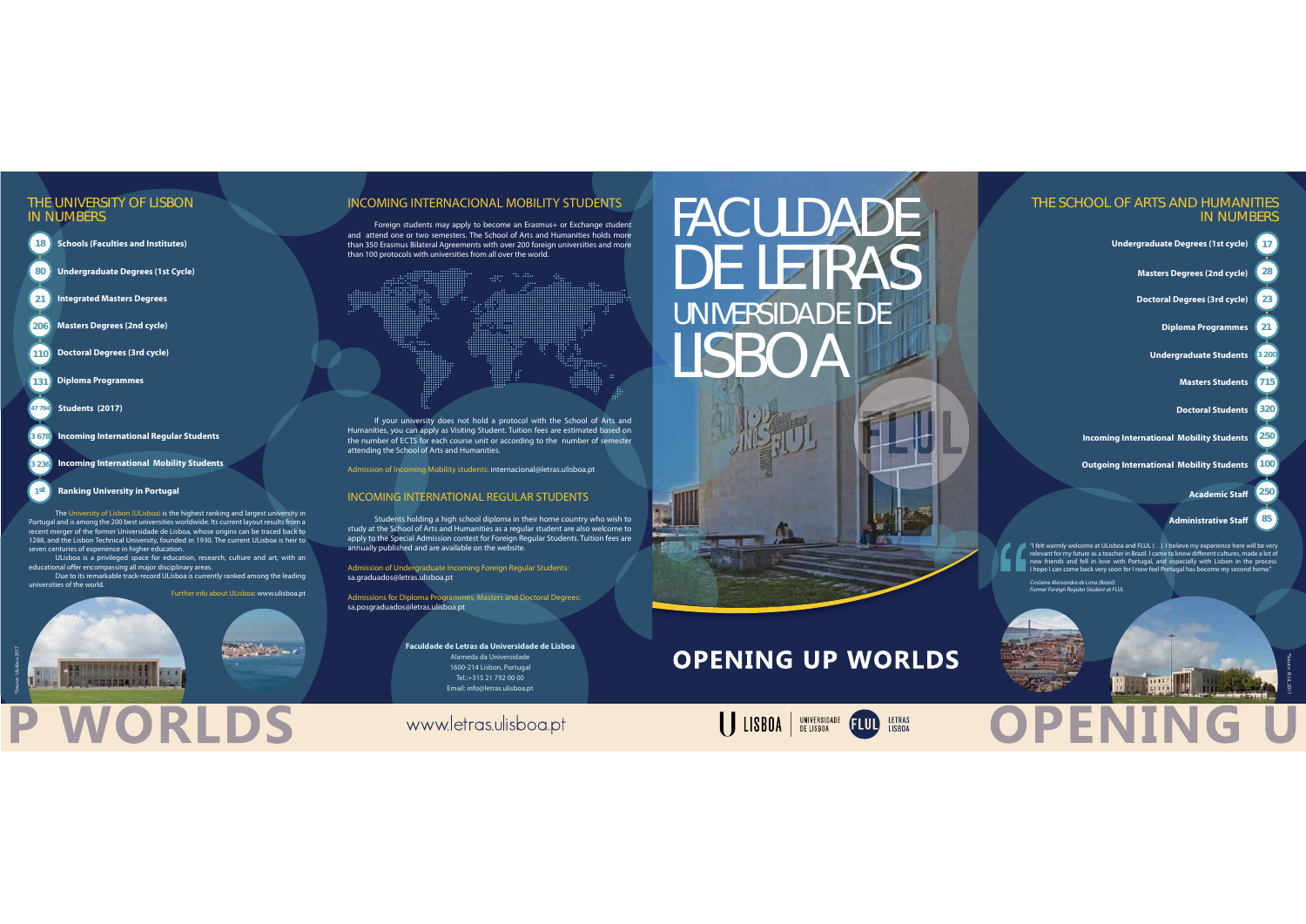# FACULDADE DE LETRAS UNIVERSIDADE DE LISBOA



## **OPENING UP WORLDS**

UNIVERSIDADE **FLUL** 

**Faculdade de Letras da Universidade de Lisboa** Alameda da Universidade1600-214 Lisbon, Portugal Tel.:+315 21 792 00 00 Email: info@letras.ulisboa.pt

## www.letras.ulisboa.pt

**188021**

**3 236**

**1st**

**Schools (Faculties and Institutes)** 

**206Masters Degrees (2nd cycle)** 

**Undergraduate Degrees (1st Cycle)**

**110Doctoral Degrees (3rd cycle)**

**131Diploma Programmes**

**Integrated Masters Degrees**

**3 678Incoming International Regular Students**

**47 794 Students (2017)**

**Incoming International Mobility Students**

#### **Ranking University in Portugal**

 The University of Lisbon (ULisboa) is the highest ranking and largest university in Portugal and is among the 200 best universities worldwide. Its current layout results from a recent merger of the former Universidade de Lisboa, whose origins can be traced back to 1288, and the Lisbon Technical University, founded in 1930. The current ULisboa is heir to seven centuries of experience in higher education.

 ULisboa is a privileged space for education, research, culture and art, with an educational offer encompassing all major disciplinary areas.

 Due to its remarkable track-record ULisboa is currently ranked among the leading universities of the world.

ORIDS

Further info about ULisboa: www.ulisboa.pt

#### THE UNIVERSITY OF LISBONIN NUMBERS

### INCOMING INTERNACIONAL MOBILITY STUDENTS

 Foreign students may apply to become an Erasmus+ or Exchange student and attend one or two semesters. The School of Arts and Humanities holds more than 350 Erasmus Bilateral Agreements with over 200 foreign universities and more than 100 protocols with universities from all over the world.

 If your university does not hold a protocol with the School of Arts and Humanities, you can apply as Visiting Student. Tuition fees are estimated based on the number of ECTS for each course unit or according to the number of semester attending the School of Arts and Humanities.

Admission of Incoming Mobility students: internacional@letras.ulisboa.pt

#### INCOMING INTERNATIONAL REGULAR STUDENTS

 Students holding a high school diploma in their home country who wish to study at the School of Arts and Humanities as a regular student are also welcome to apply to the Special Admission contest for Foreign Regular Students. Tuition fees are annually published and are available on the website.

Admission of Undergraduate Incoming Foreign Regular Students: sa.graduados@letras.ulisboa.pt

Admissions for Diploma Programmes, Masters and Doctoral Degrees: sa.posgraduados@letras.ulisboa.pt

"I felt warmly welcome at ULisboa and FLUL (…). I believe my experience here will be very relevant for my future as a teacher in Brazil. I came to know different cultures, made a lot of new friends and fell in love with Portugal, and especially with Lisbon in the process. I hope I can come back very soon for I now feel Portugal has become my second home."

**WWW.** 

Crislaine Alessandra de Lima (Brazil) Former Foreign Regular Student at FLUL



#### THE SCHOOL OF ARTS AND HUMANITIESIN NUMBERS

\*Source: ULisboa 2017